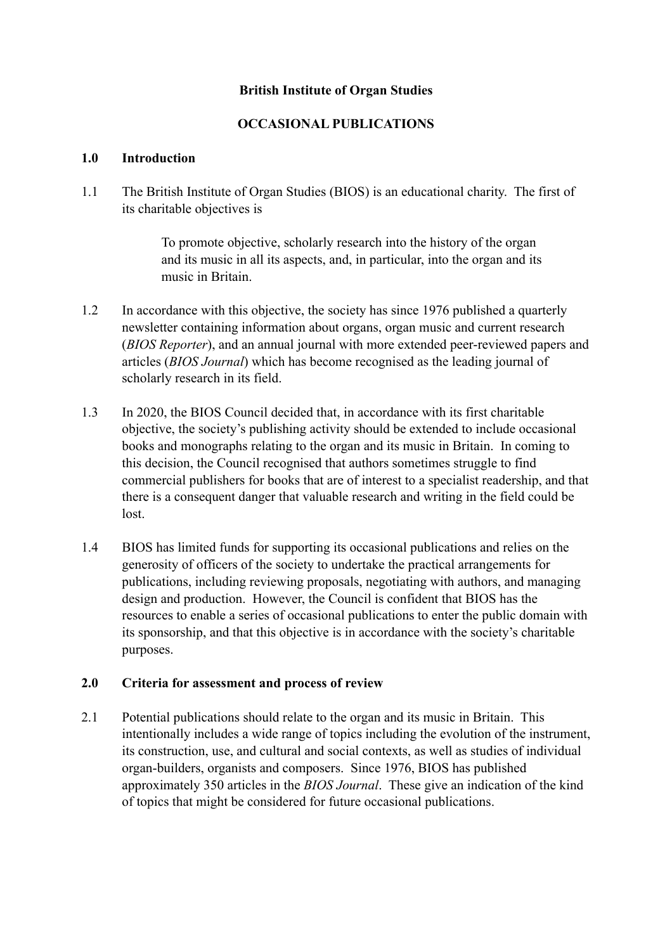# **British Institute of Organ Studies**

# **OCCASIONAL PUBLICATIONS**

#### **1.0 Introduction**

1.1 The British Institute of Organ Studies (BIOS) is an educational charity. The first of its charitable objectives is

> To promote objective, scholarly research into the history of the organ and its music in all its aspects, and, in particular, into the organ and its music in Britain.

- 1.2 In accordance with this objective, the society has since 1976 published a quarterly newsletter containing information about organs, organ music and current research (*BIOS Reporter*), and an annual journal with more extended peer-reviewed papers and articles (*BIOS Journal*) which has become recognised as the leading journal of scholarly research in its field.
- 1.3 In 2020, the BIOS Council decided that, in accordance with its first charitable objective, the society's publishing activity should be extended to include occasional books and monographs relating to the organ and its music in Britain. In coming to this decision, the Council recognised that authors sometimes struggle to find commercial publishers for books that are of interest to a specialist readership, and that there is a consequent danger that valuable research and writing in the field could be lost.
- 1.4 BIOS has limited funds for supporting its occasional publications and relies on the generosity of officers of the society to undertake the practical arrangements for publications, including reviewing proposals, negotiating with authors, and managing design and production. However, the Council is confident that BIOS has the resources to enable a series of occasional publications to enter the public domain with its sponsorship, and that this objective is in accordance with the society's charitable purposes.

## **2.0 Criteria for assessment and process of review**

2.1 Potential publications should relate to the organ and its music in Britain. This intentionally includes a wide range of topics including the evolution of the instrument, its construction, use, and cultural and social contexts, as well as studies of individual organ-builders, organists and composers. Since 1976, BIOS has published approximately 350 articles in the *BIOS Journal*. These give an indication of the kind of topics that might be considered for future occasional publications.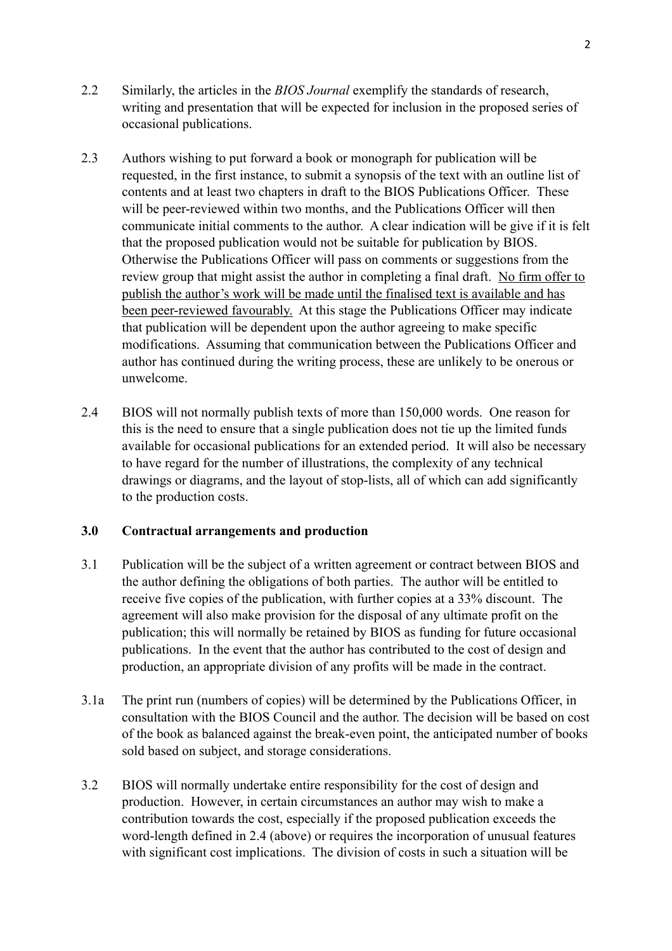- 2.2 Similarly, the articles in the *BIOS Journal* exemplify the standards of research, writing and presentation that will be expected for inclusion in the proposed series of occasional publications.
- 2.3 Authors wishing to put forward a book or monograph for publication will be requested, in the first instance, to submit a synopsis of the text with an outline list of contents and at least two chapters in draft to the BIOS Publications Officer. These will be peer-reviewed within two months, and the Publications Officer will then communicate initial comments to the author. A clear indication will be give if it is felt that the proposed publication would not be suitable for publication by BIOS. Otherwise the Publications Officer will pass on comments or suggestions from the review group that might assist the author in completing a final draft. No firm offer to publish the author's work will be made until the finalised text is available and has been peer-reviewed favourably. At this stage the Publications Officer may indicate that publication will be dependent upon the author agreeing to make specific modifications. Assuming that communication between the Publications Officer and author has continued during the writing process, these are unlikely to be onerous or unwelcome.
- 2.4 BIOS will not normally publish texts of more than 150,000 words. One reason for this is the need to ensure that a single publication does not tie up the limited funds available for occasional publications for an extended period. It will also be necessary to have regard for the number of illustrations, the complexity of any technical drawings or diagrams, and the layout of stop-lists, all of which can add significantly to the production costs.

## **3.0 Contractual arrangements and production**

- 3.1 Publication will be the subject of a written agreement or contract between BIOS and the author defining the obligations of both parties. The author will be entitled to receive five copies of the publication, with further copies at a 33% discount. The agreement will also make provision for the disposal of any ultimate profit on the publication; this will normally be retained by BIOS as funding for future occasional publications. In the event that the author has contributed to the cost of design and production, an appropriate division of any profits will be made in the contract.
- 3.1a The print run (numbers of copies) will be determined by the Publications Officer, in consultation with the BIOS Council and the author. The decision will be based on cost of the book as balanced against the break-even point, the anticipated number of books sold based on subject, and storage considerations.
- 3.2 BIOS will normally undertake entire responsibility for the cost of design and production. However, in certain circumstances an author may wish to make a contribution towards the cost, especially if the proposed publication exceeds the word-length defined in 2.4 (above) or requires the incorporation of unusual features with significant cost implications. The division of costs in such a situation will be